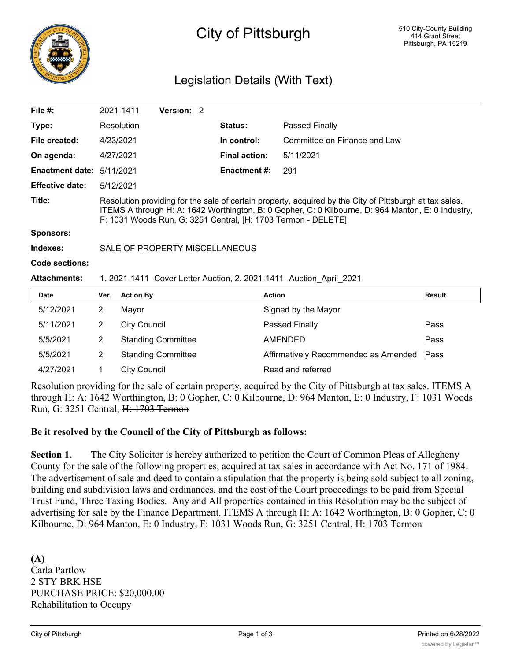

# City of Pittsburgh

## Legislation Details (With Text)

| File $#$ :             |                                                                                                                                                                                                                                                                                | 2021-1411           | Version: 2                |  |                      |                                      |               |
|------------------------|--------------------------------------------------------------------------------------------------------------------------------------------------------------------------------------------------------------------------------------------------------------------------------|---------------------|---------------------------|--|----------------------|--------------------------------------|---------------|
| Type:                  |                                                                                                                                                                                                                                                                                | Resolution          |                           |  | <b>Status:</b>       | Passed Finally                       |               |
| File created:          | 4/23/2021                                                                                                                                                                                                                                                                      |                     |                           |  | In control:          | Committee on Finance and Law         |               |
| On agenda:             | 4/27/2021                                                                                                                                                                                                                                                                      |                     |                           |  | <b>Final action:</b> | 5/11/2021                            |               |
| <b>Enactment date:</b> | 5/11/2021                                                                                                                                                                                                                                                                      |                     |                           |  | <b>Enactment #:</b>  | 291                                  |               |
| <b>Effective date:</b> | 5/12/2021                                                                                                                                                                                                                                                                      |                     |                           |  |                      |                                      |               |
| Title:                 | Resolution providing for the sale of certain property, acquired by the City of Pittsburgh at tax sales.<br>ITEMS A through H: A: 1642 Worthington, B: 0 Gopher, C: 0 Kilbourne, D: 964 Manton, E: 0 Industry,<br>F: 1031 Woods Run, G: 3251 Central, [H: 1703 Termon - DELETE] |                     |                           |  |                      |                                      |               |
| <b>Sponsors:</b>       |                                                                                                                                                                                                                                                                                |                     |                           |  |                      |                                      |               |
| Indexes:               | SALE OF PROPERTY MISCELLANEOUS                                                                                                                                                                                                                                                 |                     |                           |  |                      |                                      |               |
| Code sections:         |                                                                                                                                                                                                                                                                                |                     |                           |  |                      |                                      |               |
| <b>Attachments:</b>    | 1. 2021-1411 - Cover Letter Auction, 2. 2021-1411 - Auction April 2021                                                                                                                                                                                                         |                     |                           |  |                      |                                      |               |
| <b>Date</b>            | Ver.                                                                                                                                                                                                                                                                           | <b>Action By</b>    |                           |  |                      | <b>Action</b>                        | <b>Result</b> |
| 5/12/2021              | $\overline{2}$                                                                                                                                                                                                                                                                 | Mayor               |                           |  |                      | Signed by the Mayor                  |               |
| 5/11/2021              | $\overline{2}$                                                                                                                                                                                                                                                                 | <b>City Council</b> |                           |  |                      | Passed Finally                       | Pass          |
| 5/5/2021               | $\overline{2}$                                                                                                                                                                                                                                                                 |                     | <b>Standing Committee</b> |  |                      | <b>AMENDED</b>                       | Pass          |
| 5/5/2021               | $\overline{2}$                                                                                                                                                                                                                                                                 |                     | <b>Standing Committee</b> |  |                      | Affirmatively Recommended as Amended | Pass          |

Resolution providing for the sale of certain property, acquired by the City of Pittsburgh at tax sales. ITEMS A through H: A: 1642 Worthington, B: 0 Gopher, C: 0 Kilbourne, D: 964 Manton, E: 0 Industry, F: 1031 Woods Run, G: 3251 Central, H: 1703 Termon

#### **Be it resolved by the Council of the City of Pittsburgh as follows:**

4/27/2021 1 City Council Read and referred

**Section 1.** The City Solicitor is hereby authorized to petition the Court of Common Pleas of Allegheny County for the sale of the following properties, acquired at tax sales in accordance with Act No. 171 of 1984. The advertisement of sale and deed to contain a stipulation that the property is being sold subject to all zoning, building and subdivision laws and ordinances, and the cost of the Court proceedings to be paid from Special Trust Fund, Three Taxing Bodies. Any and All properties contained in this Resolution may be the subject of advertising for sale by the Finance Department. ITEMS A through H: A: 1642 Worthington, B: 0 Gopher, C: 0 Kilbourne, D: 964 Manton, E: 0 Industry, F: 1031 Woods Run, G: 3251 Central, H: 1703 Termon

**(A)** Carla Partlow 2 STY BRK HSE PURCHASE PRICE: \$20,000.00 Rehabilitation to Occupy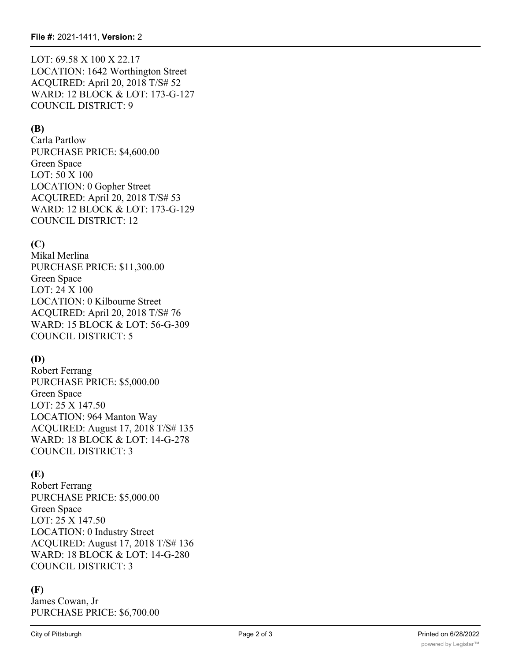LOT: 69.58 X 100 X 22.17 LOCATION: 1642 Worthington Street ACQUIRED: April 20, 2018 T/S# 52 WARD: 12 BLOCK & LOT: 173-G-127 COUNCIL DISTRICT: 9

#### **(B)**

Carla Partlow PURCHASE PRICE: \$4,600.00 Green Space LOT: 50 X 100 LOCATION: 0 Gopher Street ACQUIRED: April 20, 2018 T/S# 53 WARD: 12 BLOCK & LOT: 173-G-129 COUNCIL DISTRICT: 12

## **(C)**

Mikal Merlina PURCHASE PRICE: \$11,300.00 Green Space LOT: 24 X 100 LOCATION: 0 Kilbourne Street ACQUIRED: April 20, 2018 T/S# 76 WARD: 15 BLOCK & LOT: 56-G-309 COUNCIL DISTRICT: 5

## **(D)**

Robert Ferrang PURCHASE PRICE: \$5,000.00 Green Space LOT: 25 X 147.50 LOCATION: 964 Manton Way ACQUIRED: August 17, 2018 T/S# 135 WARD: 18 BLOCK & LOT: 14-G-278 COUNCIL DISTRICT: 3

## **(E)**

Robert Ferrang PURCHASE PRICE: \$5,000.00 Green Space LOT: 25 X 147.50 LOCATION: 0 Industry Street ACQUIRED: August 17, 2018 T/S# 136 WARD: 18 BLOCK & LOT: 14-G-280 COUNCIL DISTRICT: 3

#### **(F)**

James Cowan, Jr PURCHASE PRICE: \$6,700.00